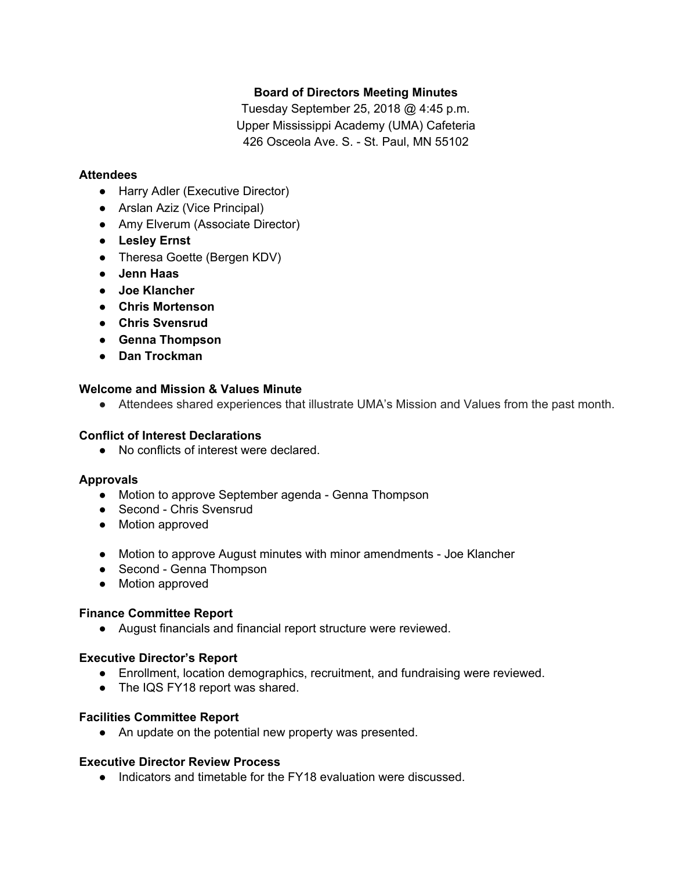## **Board of Directors Meeting Minutes**

Tuesday September 25, 2018 @ 4:45 p.m. Upper Mississippi Academy (UMA) Cafeteria 426 Osceola Ave. S. - St. Paul, MN 55102

#### **Attendees**

- Harry Adler (Executive Director)
- Arslan Aziz (Vice Principal)
- Amy Elverum (Associate Director)
- **● Lesley Ernst**
- Theresa Goette (Bergen KDV)
- **● Jenn Haas**
- **● Joe Klancher**
- **● Chris Mortenson**
- **● Chris Svensrud**
- **● Genna Thompson**
- **● Dan Trockman**

### **Welcome and Mission & Values Minute**

● Attendees shared experiences that illustrate UMA's Mission and Values from the past month.

#### **Conflict of Interest Declarations**

● No conflicts of interest were declared.

#### **Approvals**

- Motion to approve September agenda Genna Thompson
- Second Chris Svensrud
- Motion approved
- Motion to approve August minutes with minor amendments Joe Klancher
- Second Genna Thompson
- Motion approved

## **Finance Committee Report**

● August financials and financial report structure were reviewed.

#### **Executive Director's Report**

- Enrollment, location demographics, recruitment, and fundraising were reviewed.
- The IQS FY18 report was shared.

#### **Facilities Committee Report**

● An update on the potential new property was presented.

#### **Executive Director Review Process**

● Indicators and timetable for the FY18 evaluation were discussed.